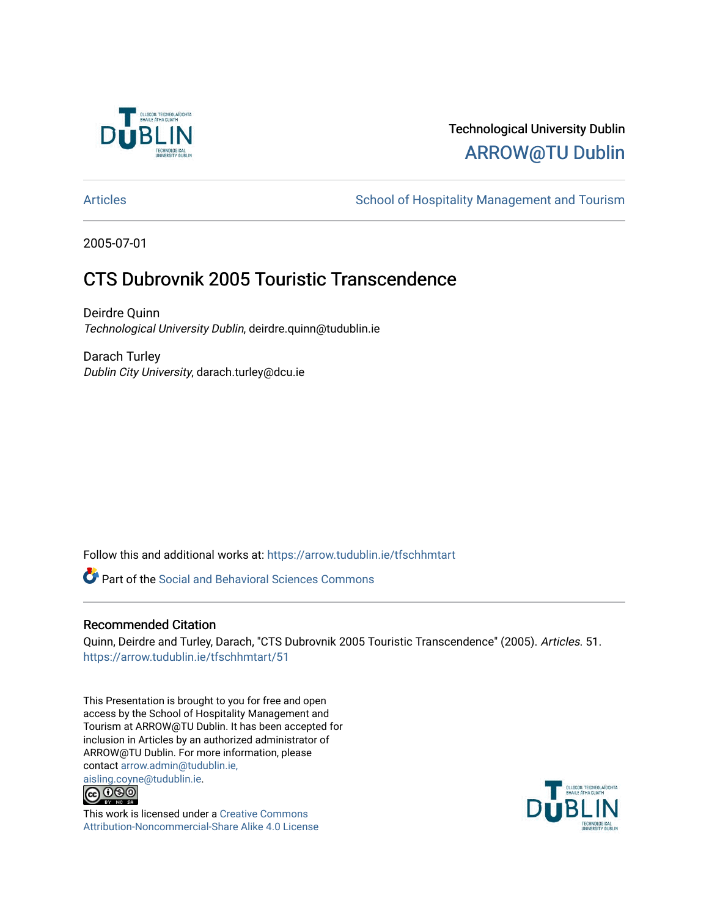

## Technological University Dublin [ARROW@TU Dublin](https://arrow.tudublin.ie/)

[Articles](https://arrow.tudublin.ie/tfschhmtart) **School of Hospitality Management and Tourism** 

2005-07-01

## CTS Dubrovnik 2005 Touristic Transcendence

Deirdre Quinn Technological University Dublin, deirdre.quinn@tudublin.ie

Darach Turley Dublin City University, darach.turley@dcu.ie

Follow this and additional works at: [https://arrow.tudublin.ie/tfschhmtart](https://arrow.tudublin.ie/tfschhmtart?utm_source=arrow.tudublin.ie%2Ftfschhmtart%2F51&utm_medium=PDF&utm_campaign=PDFCoverPages) 

**P** Part of the Social and Behavioral Sciences Commons

## Recommended Citation

Quinn, Deirdre and Turley, Darach, "CTS Dubrovnik 2005 Touristic Transcendence" (2005). Articles. 51. [https://arrow.tudublin.ie/tfschhmtart/51](https://arrow.tudublin.ie/tfschhmtart/51?utm_source=arrow.tudublin.ie%2Ftfschhmtart%2F51&utm_medium=PDF&utm_campaign=PDFCoverPages) 

This Presentation is brought to you for free and open access by the School of Hospitality Management and Tourism at ARROW@TU Dublin. It has been accepted for inclusion in Articles by an authorized administrator of ARROW@TU Dublin. For more information, please contact [arrow.admin@tudublin.ie,](mailto:arrow.admin@tudublin.ie,%20aisling.coyne@tudublin.ie)  [aisling.coyne@tudublin.ie.](mailto:arrow.admin@tudublin.ie,%20aisling.coyne@tudublin.ie)<br>© 090



This work is licensed under a [Creative Commons](http://creativecommons.org/licenses/by-nc-sa/4.0/) [Attribution-Noncommercial-Share Alike 4.0 License](http://creativecommons.org/licenses/by-nc-sa/4.0/)